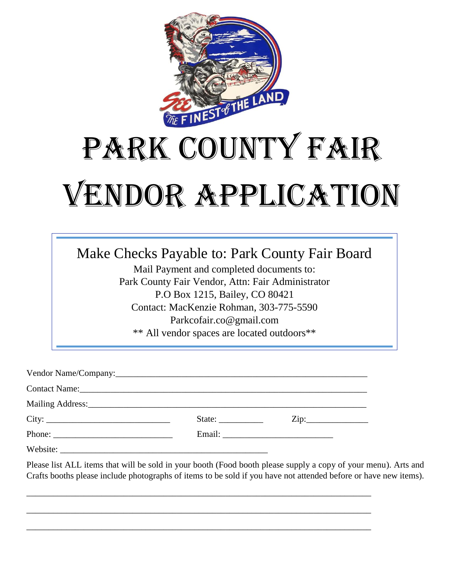

## PARK COUNTY FAIR Vendor Application

Make Checks Payable to: Park County Fair Board

Mail Payment and completed documents to: Park County Fair Vendor, Attn: Fair Administrator P.O Box 1215, Bailey, CO 80421 Contact: MacKenzie Rohman, 303-775-5590 Parkcofair.co@gmail.com \*\* All vendor spaces are located outdoors\*\*

| City:                                                                                                                                                                                                                                                                                                                                                                                                        | State: | $\overline{\mathrm{Zip:}}$ |
|--------------------------------------------------------------------------------------------------------------------------------------------------------------------------------------------------------------------------------------------------------------------------------------------------------------------------------------------------------------------------------------------------------------|--------|----------------------------|
| Phone: $\frac{1}{\sqrt{1-\frac{1}{2}}\sqrt{1-\frac{1}{2}}\sqrt{1-\frac{1}{2}}\sqrt{1-\frac{1}{2}}\sqrt{1-\frac{1}{2}}\sqrt{1-\frac{1}{2}}\sqrt{1-\frac{1}{2}}\sqrt{1-\frac{1}{2}}\sqrt{1-\frac{1}{2}}\sqrt{1-\frac{1}{2}}\sqrt{1-\frac{1}{2}}\sqrt{1-\frac{1}{2}}\sqrt{1-\frac{1}{2}}\sqrt{1-\frac{1}{2}}\sqrt{1-\frac{1}{2}}\sqrt{1-\frac{1}{2}}\sqrt{1-\frac{1}{2}}\sqrt{1-\frac{1}{2}}\sqrt{1-\frac{1}{2$ |        |                            |
|                                                                                                                                                                                                                                                                                                                                                                                                              |        |                            |

\_\_\_\_\_\_\_\_\_\_\_\_\_\_\_\_\_\_\_\_\_\_\_\_\_\_\_\_\_\_\_\_\_\_\_\_\_\_\_\_\_\_\_\_\_\_\_\_\_\_\_\_\_\_\_\_\_\_\_\_\_\_\_\_\_\_\_\_\_\_\_\_\_\_\_\_\_\_

\_\_\_\_\_\_\_\_\_\_\_\_\_\_\_\_\_\_\_\_\_\_\_\_\_\_\_\_\_\_\_\_\_\_\_\_\_\_\_\_\_\_\_\_\_\_\_\_\_\_\_\_\_\_\_\_\_\_\_\_\_\_\_\_\_\_\_\_\_\_\_\_\_\_\_\_\_\_

\_\_\_\_\_\_\_\_\_\_\_\_\_\_\_\_\_\_\_\_\_\_\_\_\_\_\_\_\_\_\_\_\_\_\_\_\_\_\_\_\_\_\_\_\_\_\_\_\_\_\_\_\_\_\_\_\_\_\_\_\_\_\_\_\_\_\_\_\_\_\_\_\_\_\_\_\_\_

Please list ALL items that will be sold in your booth (Food booth please supply a copy of your menu). Arts and Crafts booths please include photographs of items to be sold if you have not attended before or have new items).